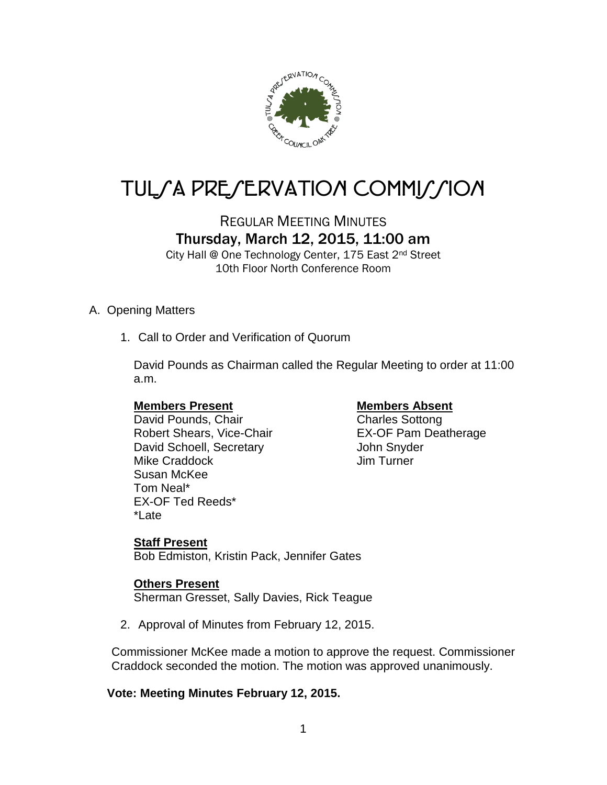

# TUL/A PRE/ERVATION COMMI*J*/ION

## REGULAR MEETING MINUTES Thursday, March 12, 2015, 11:00 am

City Hall @ One Technology Center, 175 East 2nd Street 10th Floor North Conference Room

#### A. Opening Matters

1. Call to Order and Verification of Quorum

David Pounds as Chairman called the Regular Meeting to order at 11:00 a.m.

#### **Members Present Members Absent**

David Pounds, Chair Charles Sottong Robert Shears, Vice-Chair **EX-OF Pam Deatherage** David Schoell, Secretary **Canada and Schoell**, Secretary Mike Craddock Jim Turner Susan McKee Tom Neal\* EX-OF Ted Reeds\* \*Late

#### **Staff Present**

Bob Edmiston, Kristin Pack, Jennifer Gates

#### **Others Present**

Sherman Gresset, Sally Davies, Rick Teague

2. Approval of Minutes from February 12, 2015.

Commissioner McKee made a motion to approve the request. Commissioner Craddock seconded the motion. The motion was approved unanimously.

#### **Vote: Meeting Minutes February 12, 2015.**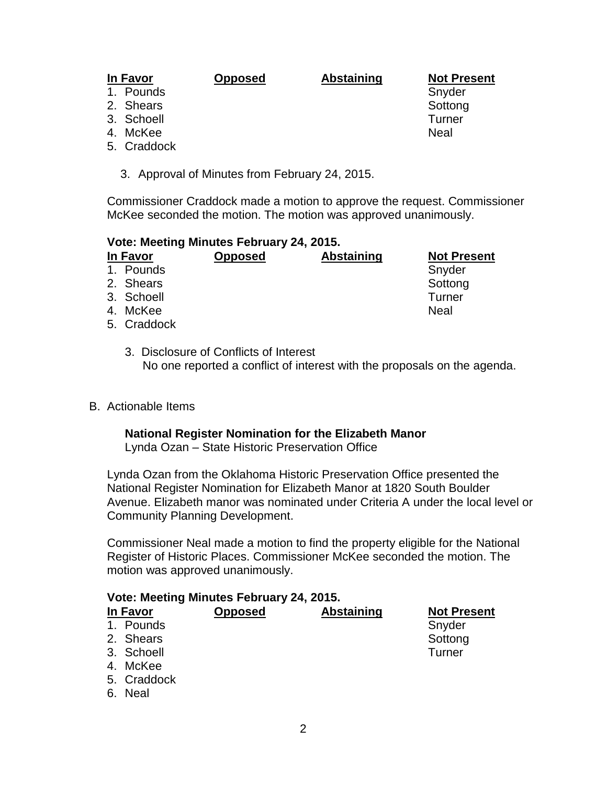#### **In Favor Opposed Abstaining Not Present**

1. Pounds and the state of the state of the Snyder

- 2. Shears Sottong and Sottong Sottong Sottong Sottong Sottong Sottong Sottong Sottong Sottong Sottong Sottong Sottong Sottong Sottong Sottong Sottong Sottong Sottong Sottong Sottong Sottong Sottong Sottong Sottong Sottong
- 3. Schoell Turner
- 4. McKee Neal
- 5. Craddock
	- 3. Approval of Minutes from February 24, 2015.

Commissioner Craddock made a motion to approve the request. Commissioner McKee seconded the motion. The motion was approved unanimously.

### **Vote: Meeting Minutes February 24, 2015.**

#### **In Favor Opposed Abstaining Not Present** 1. Pounds Snyder Snyder Snyder 2. Shears Sottong and Sottong Sottong Sottong Sottong Sottong Sottong Sottong Sottong Sottong Sottong Sottong Sottong Sottong Sottong Sottong Sottong Sottong Sottong Sottong Sottong Sottong Sottong Sottong Sottong Sottong 3. Schoell Turner 4. McKee Neal 5. Craddock

- 3. Disclosure of Conflicts of Interest No one reported a conflict of interest with the proposals on the agenda.
- B. Actionable Items

#### **National Register Nomination for the Elizabeth Manor**

Lynda Ozan – State Historic Preservation Office

Lynda Ozan from the Oklahoma Historic Preservation Office presented the National Register Nomination for Elizabeth Manor at 1820 South Boulder Avenue. Elizabeth manor was nominated under Criteria A under the local level or Community Planning Development.

Commissioner Neal made a motion to find the property eligible for the National Register of Historic Places. Commissioner McKee seconded the motion. The motion was approved unanimously.

| Vote: Meeting Minutes February 24, 2015. |                |                   |                    |  |  |  |
|------------------------------------------|----------------|-------------------|--------------------|--|--|--|
| In Favor                                 | <b>Opposed</b> | <b>Abstaining</b> | <b>Not Present</b> |  |  |  |
| 1. Pounds                                |                |                   | Snyder             |  |  |  |
| 2. Shears                                |                |                   | Sottong            |  |  |  |
| 3. Schoell                               |                |                   | Turner             |  |  |  |
| 4. McKee                                 |                |                   |                    |  |  |  |
| 5. Craddock                              |                |                   |                    |  |  |  |
| 6. Neal                                  |                |                   |                    |  |  |  |
|                                          |                |                   |                    |  |  |  |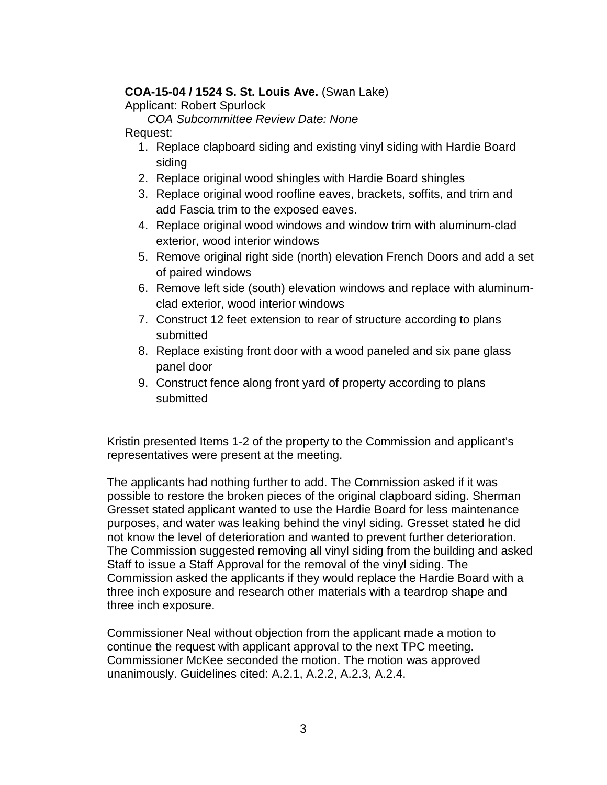#### **COA-15-04 / 1524 S. St. Louis Ave.** (Swan Lake)

Applicant: Robert Spurlock

*COA Subcommittee Review Date: None*

- Request:
	- 1. Replace clapboard siding and existing vinyl siding with Hardie Board siding
	- 2. Replace original wood shingles with Hardie Board shingles
	- 3. Replace original wood roofline eaves, brackets, soffits, and trim and add Fascia trim to the exposed eaves.
	- 4. Replace original wood windows and window trim with aluminum-clad exterior, wood interior windows
	- 5. Remove original right side (north) elevation French Doors and add a set of paired windows
	- 6. Remove left side (south) elevation windows and replace with aluminumclad exterior, wood interior windows
	- 7. Construct 12 feet extension to rear of structure according to plans submitted
	- 8. Replace existing front door with a wood paneled and six pane glass panel door
	- 9. Construct fence along front yard of property according to plans submitted

Kristin presented Items 1-2 of the property to the Commission and applicant's representatives were present at the meeting.

The applicants had nothing further to add. The Commission asked if it was possible to restore the broken pieces of the original clapboard siding. Sherman Gresset stated applicant wanted to use the Hardie Board for less maintenance purposes, and water was leaking behind the vinyl siding. Gresset stated he did not know the level of deterioration and wanted to prevent further deterioration. The Commission suggested removing all vinyl siding from the building and asked Staff to issue a Staff Approval for the removal of the vinyl siding. The Commission asked the applicants if they would replace the Hardie Board with a three inch exposure and research other materials with a teardrop shape and three inch exposure.

Commissioner Neal without objection from the applicant made a motion to continue the request with applicant approval to the next TPC meeting. Commissioner McKee seconded the motion. The motion was approved unanimously. Guidelines cited: A.2.1, A.2.2, A.2.3, A.2.4.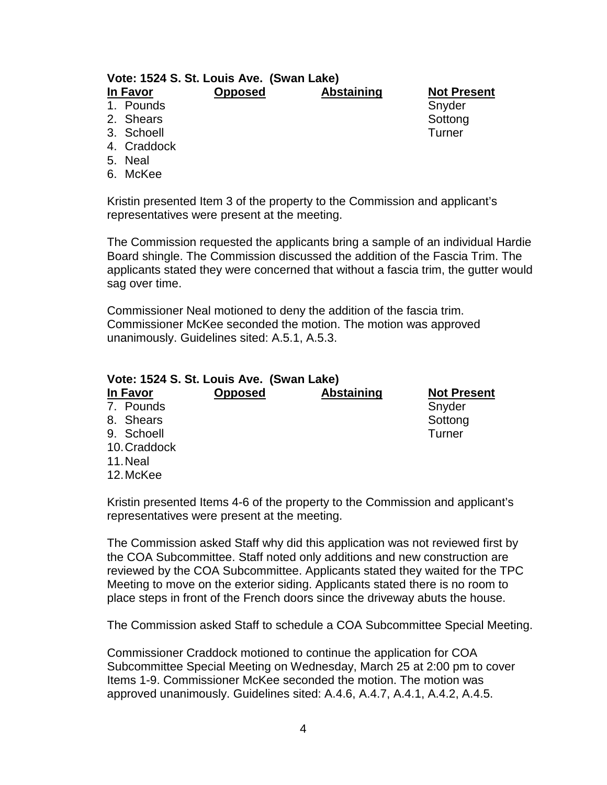#### **Vote: 1524 S. St. Louis Ave. (Swan Lake) In Favor Opposed Abstaining Not Present**

#### 1. Pounds and the state of the state of the Snyder

- 2. Shears Sottong and Sottong Sottong Sottong Sottong Sottong Sottong Sottong Sottong Sottong Sottong Sottong Sottong Sottong Sottong Sottong Sottong Sottong Sottong Sottong Sottong Sottong Sottong Sottong Sottong Sottong
- 3. Schoell Turner
- 4. Craddock
- 5. Neal
- 
- 6. McKee

Kristin presented Item 3 of the property to the Commission and applicant's representatives were present at the meeting.

The Commission requested the applicants bring a sample of an individual Hardie Board shingle. The Commission discussed the addition of the Fascia Trim. The applicants stated they were concerned that without a fascia trim, the gutter would sag over time.

Commissioner Neal motioned to deny the addition of the fascia trim. Commissioner McKee seconded the motion. The motion was approved unanimously. Guidelines sited: A.5.1, A.5.3.

| Vote: 1524 S. St. Louis Ave. (Swan Lake) |                |                   |                    |  |  |  |
|------------------------------------------|----------------|-------------------|--------------------|--|--|--|
| In Favor                                 | <b>Opposed</b> | <b>Abstaining</b> | <b>Not Present</b> |  |  |  |
| 7. Pounds                                |                |                   | Snyder             |  |  |  |
| 8. Shears                                |                |                   | Sottong            |  |  |  |
| 9. Schoell                               |                |                   | Turner             |  |  |  |
| 10. Craddock                             |                |                   |                    |  |  |  |
| 11. Neal                                 |                |                   |                    |  |  |  |
| 12. McKee                                |                |                   |                    |  |  |  |

Kristin presented Items 4-6 of the property to the Commission and applicant's representatives were present at the meeting.

The Commission asked Staff why did this application was not reviewed first by the COA Subcommittee. Staff noted only additions and new construction are reviewed by the COA Subcommittee. Applicants stated they waited for the TPC Meeting to move on the exterior siding. Applicants stated there is no room to place steps in front of the French doors since the driveway abuts the house.

The Commission asked Staff to schedule a COA Subcommittee Special Meeting.

Commissioner Craddock motioned to continue the application for COA Subcommittee Special Meeting on Wednesday, March 25 at 2:00 pm to cover Items 1-9. Commissioner McKee seconded the motion. The motion was approved unanimously. Guidelines sited: A.4.6, A.4.7, A.4.1, A.4.2, A.4.5.